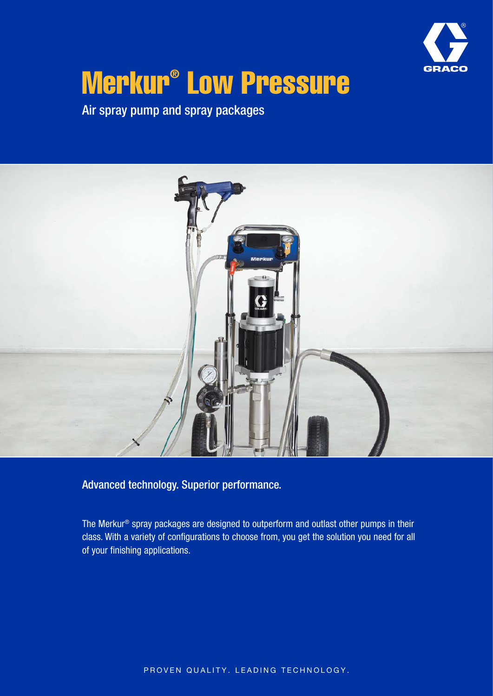

# Merkur® Low Pressure

Air spray pump and spray packages



Advanced technology. Superior performance.

The Merkur® spray packages are designed to outperform and outlast other pumps in their class. With a variety of configurations to choose from, you get the solution you need for all of your finishing applications.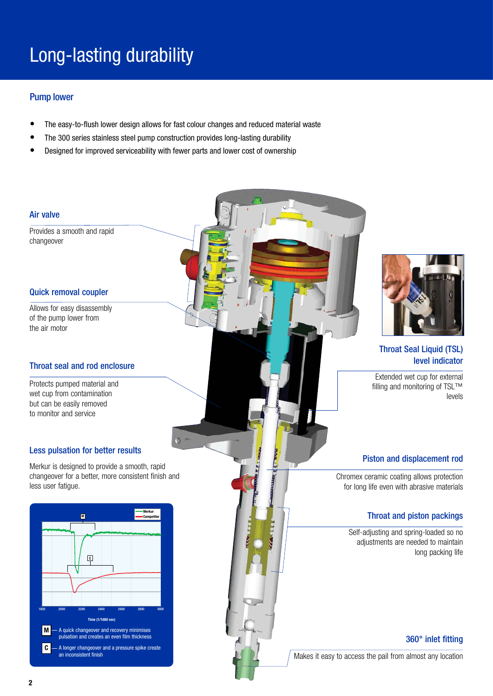### Long-lasting durability

#### Pump lower

- The easy-to-flush lower design allows for fast colour changes and reduced material waste
- The 300 series stainless steel pump construction provides long-lasting durability
- Designed for improved serviceability with fewer parts and lower cost of ownership

#### Air valve

Provides a smooth and rapid changeover

#### Quick removal coupler

Allows for easy disassembly of the pump lower from the air motor

#### Throat seal and rod enclosure

Protects pumped material and wet cup from contamination but can be easily removed to monitor and service

#### Less pulsation for better results

Merkur is designed to provide a smooth, rapid changeover for a better, more consistent finish and less user fatigue.





#### Throat Seal Liquid (TSL) level indicator

Extended wet cup for external filling and monitoring of TSL™ levels

#### Piston and displacement rod

Chromex ceramic coating allows protection for long life even with abrasive materials

#### Throat and piston packings

Self-adjusting and spring-loaded so no adjustments are needed to maintain long packing life

#### 360° inlet fitting

Makes it easy to access the pail from almost any location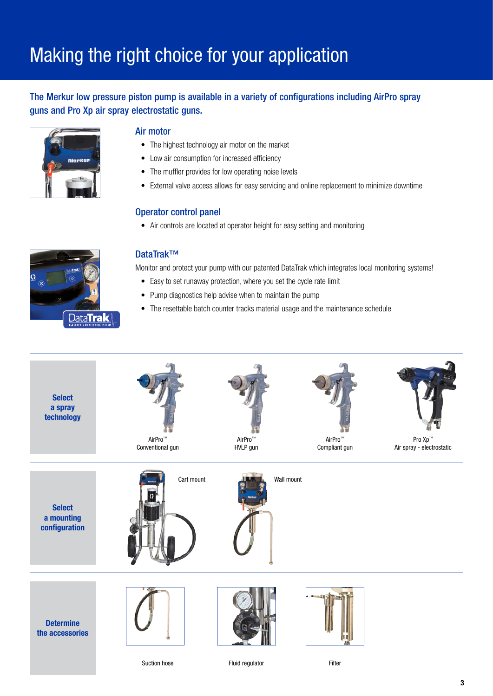### Making the right choice for your application

#### The Merkur low pressure piston pump is available in a variety of configurations including AirPro spray guns and Pro Xp air spray electrostatic guns.



#### Air motor

- The highest technology air motor on the market
- Low air consumption for increased efficiency
- The muffler provides for low operating noise levels
- External valve access allows for easy servicing and online replacement to minimize downtime

#### Operator control panel

• Air controls are located at operator height for easy setting and monitoring



#### DataTrak™

Monitor and protect your pump with our patented DataTrak which integrates local monitoring systems!

- Easy to set runaway protection, where you set the cycle rate limit
- Pump diagnostics help advise when to maintain the pump
- The resettable batch counter tracks material usage and the maintenance schedule



Suction hose Fluid regulator Filter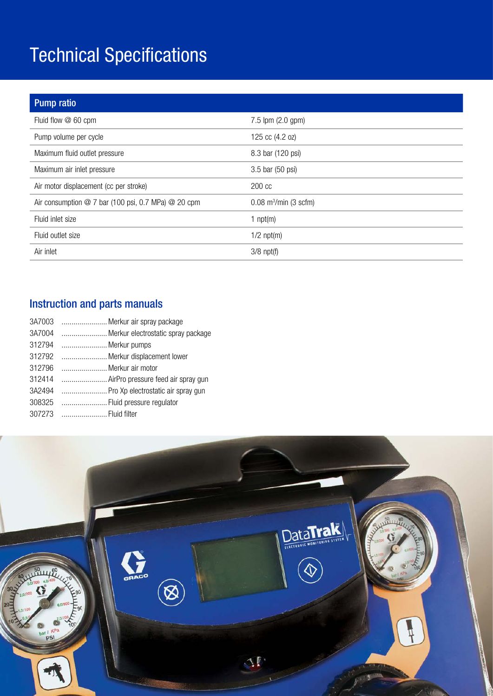### Technical Specifications

| <b>Pump ratio</b>                                     |                                     |
|-------------------------------------------------------|-------------------------------------|
| Fluid flow @ 60 cpm                                   | 7.5 lpm (2.0 gpm)                   |
| Pump volume per cycle                                 | 125 cc (4.2 oz)                     |
| Maximum fluid outlet pressure                         | 8.3 bar (120 psi)                   |
| Maximum air inlet pressure                            | 3.5 bar (50 psi)                    |
| Air motor displacement (cc per stroke)                | 200 cc                              |
| Air consumption $@7$ bar (100 psi, 0.7 MPa) $@20$ cpm | $0.08$ m <sup>3</sup> /min (3 scfm) |
| Fluid inlet size                                      | 1 $npt(m)$                          |
| Fluid outlet size                                     | $1/2$ npt $(m)$                     |
| Air inlet                                             | $3/8$ npt(f)                        |

### Instruction and parts manuals

| 3A7003 | Merkur air spray package           |
|--------|------------------------------------|
| 3A7004 | Merkur electrostatic spray package |
| 312794 | Merkur pumps                       |
| 312792 | Merkur displacement lower          |
| 312796 | Merkur air motor                   |
| 312414 | AirPro pressure feed air spray gun |
| 3A2494 | Pro Xp electrostatic air spray gun |
| 308325 | Fluid pressure regulator           |
| 307273 | Fluid filter                       |

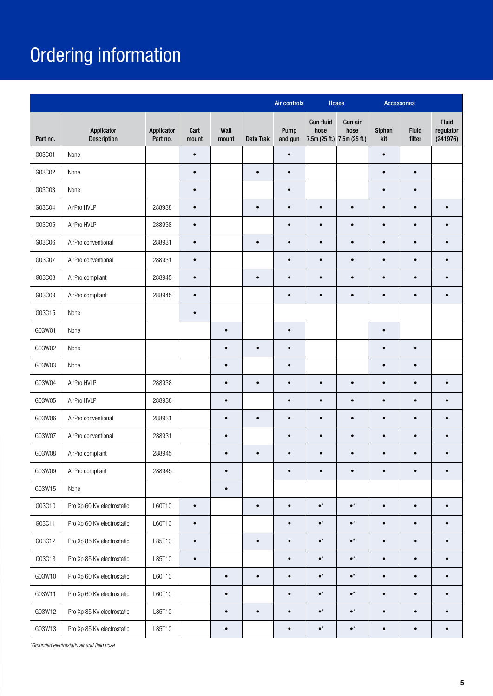## Ordering information

|          |                                  |                        |               |               |           | <b>Air controls</b> | <b>Hoses</b>                                            |                 | <b>Accessories</b> |                        |                                |
|----------|----------------------------------|------------------------|---------------|---------------|-----------|---------------------|---------------------------------------------------------|-----------------|--------------------|------------------------|--------------------------------|
| Part no. | Applicator<br><b>Description</b> | Applicator<br>Part no. | Cart<br>mount | Wall<br>mount | Data Trak | Pump<br>and gun     | <b>Gun fluid</b><br>hose<br>7.5m (25 ft.) 7.5m (25 ft.) | Gun air<br>hose | Siphon<br>kit      | <b>Fluid</b><br>filter | Fluid<br>regulator<br>(241976) |
| G03C01   | None                             |                        | $\bullet$     |               |           | $\bullet$           |                                                         |                 | $\bullet$          |                        |                                |
| G03C02   | None                             |                        | $\bullet$     |               | $\bullet$ | $\bullet$           |                                                         |                 | $\bullet$          | $\bullet$              |                                |
| G03C03   | None                             |                        | $\bullet$     |               |           | $\bullet$           |                                                         |                 | $\bullet$          | $\bullet$              |                                |
| G03C04   | AirPro HVLP                      | 288938                 | $\bullet$     |               | $\bullet$ | $\bullet$           | $\bullet$                                               | $\bullet$       | $\bullet$          | $\bullet$              | $\bullet$                      |
| G03C05   | AirPro HVLP                      | 288938                 | $\bullet$     |               |           | $\bullet$           | $\bullet$                                               | $\bullet$       | $\bullet$          | $\bullet$              | $\bullet$                      |
| G03C06   | AirPro conventional              | 288931                 | $\bullet$     |               | $\bullet$ | $\bullet$           | $\bullet$                                               | $\bullet$       | $\bullet$          | $\bullet$              | $\bullet$                      |
| G03C07   | AirPro conventional              | 288931                 | $\bullet$     |               |           | $\bullet$           | $\bullet$                                               | $\bullet$       | $\bullet$          | $\bullet$              | $\bullet$                      |
| G03C08   | AirPro compliant                 | 288945                 | $\bullet$     |               | $\bullet$ | $\bullet$           | $\bullet$                                               | $\bullet$       | $\bullet$          | $\bullet$              | $\bullet$                      |
| G03C09   | AirPro compliant                 | 288945                 | $\bullet$     |               |           | $\bullet$           | $\bullet$                                               | $\bullet$       | $\bullet$          | $\bullet$              | $\bullet$                      |
| G03C15   | None                             |                        | $\bullet$     |               |           |                     |                                                         |                 |                    |                        |                                |
| G03W01   | None                             |                        |               | $\bullet$     |           | $\bullet$           |                                                         |                 | $\bullet$          |                        |                                |
| G03W02   | None                             |                        |               | $\bullet$     | $\bullet$ | $\bullet$           |                                                         |                 | $\bullet$          | $\bullet$              |                                |
| G03W03   | None                             |                        |               | $\bullet$     |           | $\bullet$           |                                                         |                 | $\bullet$          | $\bullet$              |                                |
| G03W04   | AirPro HVLP                      | 288938                 |               | $\bullet$     | $\bullet$ | $\bullet$           | $\bullet$                                               | $\bullet$       | $\bullet$          | $\bullet$              | $\bullet$                      |
| G03W05   | AirPro HVLP                      | 288938                 |               | $\bullet$     |           | $\bullet$           | $\bullet$                                               | $\bullet$       | $\bullet$          | $\bullet$              | $\bullet$                      |
| G03W06   | AirPro conventional              | 288931                 |               | $\bullet$     | $\bullet$ | $\bullet$           | $\bullet$                                               | $\bullet$       | $\bullet$          | $\bullet$              |                                |
| G03W07   | AirPro conventional              | 288931                 |               | $\bullet$     |           | $\bullet$           |                                                         | $\bullet$       | $\bullet$          | $\bullet$              |                                |
| G03W08   | AirPro compliant                 | 288945                 |               | $\bullet$     | $\bullet$ | $\bullet$           | $\bullet$                                               | $\bullet$       | $\bullet$          | $\bullet$              | $\bullet$                      |
| G03W09   | AirPro compliant                 | 288945                 |               | $\bullet$     |           |                     |                                                         |                 |                    |                        |                                |
| G03W15   | None                             |                        |               | $\bullet$     |           |                     |                                                         |                 |                    |                        |                                |
| G03C10   | Pro Xp 60 KV electrostatic       | L60T10                 | $\bullet$     |               | $\bullet$ | $\bullet$           | $\bullet^\star$                                         | $\bullet^\star$ | $\bullet$          | $\bullet$              | $\bullet$                      |
| G03C11   | Pro Xp 60 KV electrostatic       | L60T10                 | $\bullet$     |               |           | $\bullet$           | $\bullet^\star$                                         | $\bullet^\star$ | $\bullet$          | $\bullet$              | $\bullet$                      |
| G03C12   | Pro Xp 85 KV electrostatic       | L85T10                 | $\bullet$     |               | $\bullet$ | $\bullet$           | $\bullet^\star$                                         | $\bullet^\star$ | $\bullet$          | $\bullet$              | $\bullet$                      |
| G03C13   | Pro Xp 85 KV electrostatic       | L85T10                 | $\bullet$     |               |           | $\bullet$           | $\bullet^\star$                                         | $\bullet^\star$ | $\bullet$          | $\bullet$              | $\bullet$                      |
| G03W10   | Pro Xp 60 KV electrostatic       | L60T10                 |               | $\bullet$     | $\bullet$ | $\bullet$           | $\bullet^\star$                                         | $\bullet^\star$ | $\bullet$          | $\bullet$              | $\bullet$                      |
| G03W11   | Pro Xp 60 KV electrostatic       | L60T10                 |               | $\bullet$     |           | $\bullet$           | $\bullet^\star$                                         | $\bullet^\star$ | $\bullet$          | $\bullet$              | $\bullet$                      |
| G03W12   | Pro Xp 85 KV electrostatic       | L85T10                 |               | $\bullet$     | $\bullet$ | $\bullet$           | $\bullet^\star$                                         | $\bullet^\star$ | $\bullet$          | $\bullet$              | $\bullet$                      |
| G03W13   | Pro Xp 85 KV electrostatic       | L85T10                 |               | $\bullet$     |           | $\bullet$           | $\bullet^\star$                                         | $\bullet^\star$ | $\bullet$          | $\bullet$              | $\bullet$                      |

*\*Grounded electrostatic air and fluid hose*